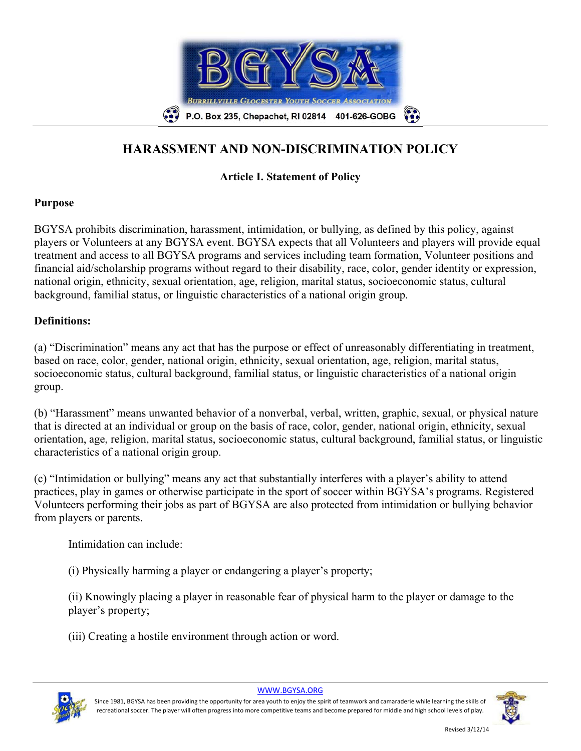

# **HARASSMENT AND NON-DISCRIMINATION POLICY**

# **Article I. Statement of Policy**

#### **Purpose**

BGYSA prohibits discrimination, harassment, intimidation, or bullying, as defined by this policy, against players or Volunteers at any BGYSA event. BGYSA expects that all Volunteers and players will provide equal treatment and access to all BGYSA programs and services including team formation, Volunteer positions and financial aid/scholarship programs without regard to their disability, race, color, gender identity or expression, national origin, ethnicity, sexual orientation, age, religion, marital status, socioeconomic status, cultural background, familial status, or linguistic characteristics of a national origin group.

### **Definitions:**

(a) "Discrimination" means any act that has the purpose or effect of unreasonably differentiating in treatment, based on race, color, gender, national origin, ethnicity, sexual orientation, age, religion, marital status, socioeconomic status, cultural background, familial status, or linguistic characteristics of a national origin group.

(b) "Harassment" means unwanted behavior of a nonverbal, verbal, written, graphic, sexual, or physical nature that is directed at an individual or group on the basis of race, color, gender, national origin, ethnicity, sexual orientation, age, religion, marital status, socioeconomic status, cultural background, familial status, or linguistic characteristics of a national origin group.

(c) "Intimidation or bullying" means any act that substantially interferes with a player's ability to attend practices, play in games or otherwise participate in the sport of soccer within BGYSA's programs. Registered Volunteers performing their jobs as part of BGYSA are also protected from intimidation or bullying behavior from players or parents.

Intimidation can include:

(i) Physically harming a player or endangering a player's property;

(ii) Knowingly placing a player in reasonable fear of physical harm to the player or damage to the player's property;

(iii) Creating a hostile environment through action or word.



Since 1981, BGYSA has been providing the opportunity for area youth to enjoy the spirit of teamwork and camaraderie while learning the skills of recreational soccer. The player will often progress into more competitive teams and become prepared for middle and high school levels of play.

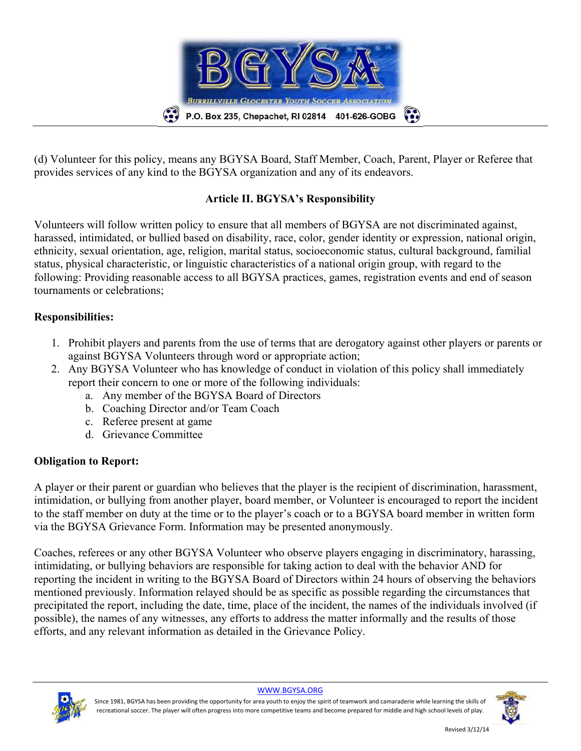

(d) Volunteer for this policy, means any BGYSA Board, Staff Member, Coach, Parent, Player or Referee that provides services of any kind to the BGYSA organization and any of its endeavors.

## **Article II. BGYSA's Responsibility**

Volunteers will follow written policy to ensure that all members of BGYSA are not discriminated against, harassed, intimidated, or bullied based on disability, race, color, gender identity or expression, national origin, ethnicity, sexual orientation, age, religion, marital status, socioeconomic status, cultural background, familial status, physical characteristic, or linguistic characteristics of a national origin group, with regard to the following: Providing reasonable access to all BGYSA practices, games, registration events and end of season tournaments or celebrations;

## **Responsibilities:**

- 1. Prohibit players and parents from the use of terms that are derogatory against other players or parents or against BGYSA Volunteers through word or appropriate action;
- 2. Any BGYSA Volunteer who has knowledge of conduct in violation of this policy shall immediately report their concern to one or more of the following individuals:
	- a. Any member of the BGYSA Board of Directors
	- b. Coaching Director and/or Team Coach
	- c. Referee present at game
	- d. Grievance Committee

#### **Obligation to Report:**

A player or their parent or guardian who believes that the player is the recipient of discrimination, harassment, intimidation, or bullying from another player, board member, or Volunteer is encouraged to report the incident to the staff member on duty at the time or to the player's coach or to a BGYSA board member in written form via the BGYSA Grievance Form. Information may be presented anonymously.

Coaches, referees or any other BGYSA Volunteer who observe players engaging in discriminatory, harassing, intimidating, or bullying behaviors are responsible for taking action to deal with the behavior AND for reporting the incident in writing to the BGYSA Board of Directors within 24 hours of observing the behaviors mentioned previously. Information relayed should be as specific as possible regarding the circumstances that precipitated the report, including the date, time, place of the incident, the names of the individuals involved (if possible), the names of any witnesses, any efforts to address the matter informally and the results of those efforts, and any relevant information as detailed in the Grievance Policy.